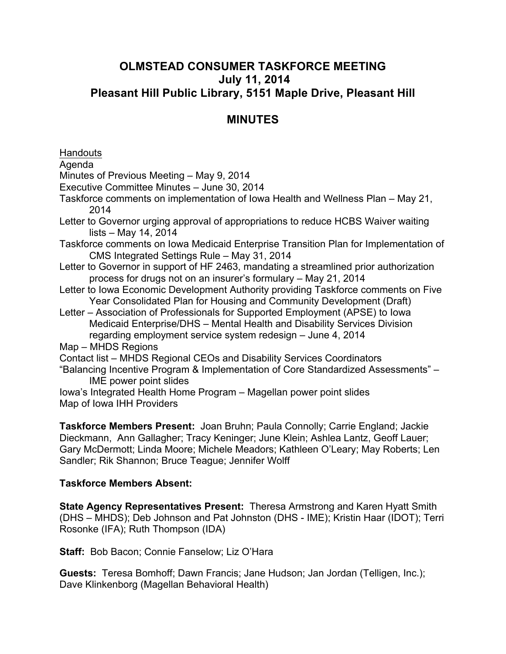# **OLMSTEAD CONSUMER TASKFORCE MEETING July 11, 2014 Pleasant Hill Public Library, 5151 Maple Drive, Pleasant Hill**

# **MINUTES**

Handouts

Agenda

Minutes of Previous Meeting – May 9, 2014

Executive Committee Minutes – June 30, 2014

Taskforce comments on implementation of Iowa Health and Wellness Plan – May 21, 2014

Letter to Governor urging approval of appropriations to reduce HCBS Waiver waiting lists – May 14, 2014

Taskforce comments on Iowa Medicaid Enterprise Transition Plan for Implementation of CMS Integrated Settings Rule – May 31, 2014

Letter to Governor in support of HF 2463, mandating a streamlined prior authorization process for drugs not on an insurer's formulary – May 21, 2014

Letter to Iowa Economic Development Authority providing Taskforce comments on Five Year Consolidated Plan for Housing and Community Development (Draft)

Letter – Association of Professionals for Supported Employment (APSE) to Iowa Medicaid Enterprise/DHS – Mental Health and Disability Services Division regarding employment service system redesign – June 4, 2014

Map – MHDS Regions

Contact list – MHDS Regional CEOs and Disability Services Coordinators

"Balancing Incentive Program & Implementation of Core Standardized Assessments" – IME power point slides

Iowa's Integrated Health Home Program – Magellan power point slides Map of Iowa IHH Providers

**Taskforce Members Present:** Joan Bruhn; Paula Connolly; Carrie England; Jackie Dieckmann, Ann Gallagher; Tracy Keninger; June Klein; Ashlea Lantz, Geoff Lauer; Gary McDermott; Linda Moore; Michele Meadors; Kathleen O'Leary; May Roberts; Len Sandler; Rik Shannon; Bruce Teague; Jennifer Wolff

### **Taskforce Members Absent:**

**State Agency Representatives Present:** Theresa Armstrong and Karen Hyatt Smith (DHS – MHDS); Deb Johnson and Pat Johnston (DHS - IME); Kristin Haar (IDOT); Terri Rosonke (IFA); Ruth Thompson (IDA)

**Staff:** Bob Bacon; Connie Fanselow; Liz O'Hara

**Guests:** Teresa Bomhoff; Dawn Francis; Jane Hudson; Jan Jordan (Telligen, Inc.); Dave Klinkenborg (Magellan Behavioral Health)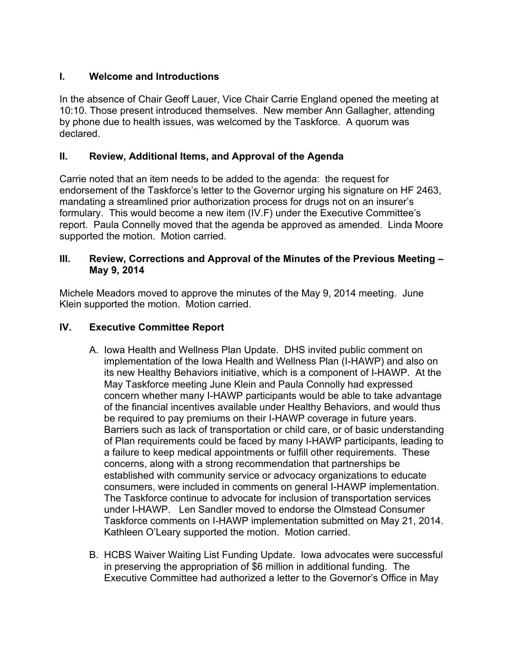## **I. Welcome and Introductions**

In the absence of Chair Geoff Lauer, Vice Chair Carrie England opened the meeting at 10:10. Those present introduced themselves. New member Ann Gallagher, attending by phone due to health issues, was welcomed by the Taskforce. A quorum was declared.

### **II. Review, Additional Items, and Approval of the Agenda**

Carrie noted that an item needs to be added to the agenda: the request for endorsement of the Taskforce's letter to the Governor urging his signature on HF 2463, mandating a streamlined prior authorization process for drugs not on an insurer's formulary. This would become a new item (IV.F) under the Executive Committee's report. Paula Connelly moved that the agenda be approved as amended. Linda Moore supported the motion. Motion carried.

### **III. Review, Corrections and Approval of the Minutes of the Previous Meeting – May 9, 2014**

Michele Meadors moved to approve the minutes of the May 9, 2014 meeting. June Klein supported the motion. Motion carried.

## **IV. Executive Committee Report**

- A. Iowa Health and Wellness Plan Update. DHS invited public comment on implementation of the Iowa Health and Wellness Plan (I-HAWP) and also on its new Healthy Behaviors initiative, which is a component of I-HAWP. At the May Taskforce meeting June Klein and Paula Connolly had expressed concern whether many I-HAWP participants would be able to take advantage of the financial incentives available under Healthy Behaviors, and would thus be required to pay premiums on their I-HAWP coverage in future years. Barriers such as lack of transportation or child care, or of basic understanding of Plan requirements could be faced by many I-HAWP participants, leading to a failure to keep medical appointments or fulfill other requirements. These concerns, along with a strong recommendation that partnerships be established with community service or advocacy organizations to educate consumers, were included in comments on general I-HAWP implementation. The Taskforce continue to advocate for inclusion of transportation services under I-HAWP. Len Sandler moved to endorse the Olmstead Consumer Taskforce comments on I-HAWP implementation submitted on May 21, 2014. Kathleen O'Leary supported the motion. Motion carried.
- B. HCBS Waiver Waiting List Funding Update. Iowa advocates were successful in preserving the appropriation of \$6 million in additional funding. The Executive Committee had authorized a letter to the Governor's Office in May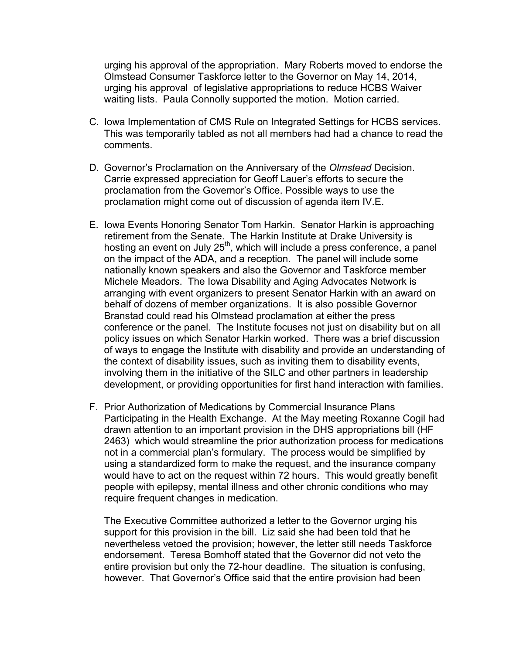urging his approval of the appropriation. Mary Roberts moved to endorse the Olmstead Consumer Taskforce letter to the Governor on May 14, 2014, urging his approval of legislative appropriations to reduce HCBS Waiver waiting lists. Paula Connolly supported the motion. Motion carried.

- C. Iowa Implementation of CMS Rule on Integrated Settings for HCBS services. This was temporarily tabled as not all members had had a chance to read the comments.
- D. Governor's Proclamation on the Anniversary of the *Olmstead* Decision. Carrie expressed appreciation for Geoff Lauer's efforts to secure the proclamation from the Governor's Office. Possible ways to use the proclamation might come out of discussion of agenda item IV.E.
- E. Iowa Events Honoring Senator Tom Harkin. Senator Harkin is approaching retirement from the Senate. The Harkin Institute at Drake University is hosting an event on July 25<sup>th</sup>, which will include a press conference, a panel on the impact of the ADA, and a reception. The panel will include some nationally known speakers and also the Governor and Taskforce member Michele Meadors. The Iowa Disability and Aging Advocates Network is arranging with event organizers to present Senator Harkin with an award on behalf of dozens of member organizations. It is also possible Governor Branstad could read his Olmstead proclamation at either the press conference or the panel. The Institute focuses not just on disability but on all policy issues on which Senator Harkin worked. There was a brief discussion of ways to engage the Institute with disability and provide an understanding of the context of disability issues, such as inviting them to disability events, involving them in the initiative of the SILC and other partners in leadership development, or providing opportunities for first hand interaction with families.
- F. Prior Authorization of Medications by Commercial Insurance Plans Participating in the Health Exchange. At the May meeting Roxanne Cogil had drawn attention to an important provision in the DHS appropriations bill (HF 2463) which would streamline the prior authorization process for medications not in a commercial plan's formulary. The process would be simplified by using a standardized form to make the request, and the insurance company would have to act on the request within 72 hours. This would greatly benefit people with epilepsy, mental illness and other chronic conditions who may require frequent changes in medication.

The Executive Committee authorized a letter to the Governor urging his support for this provision in the bill. Liz said she had been told that he nevertheless vetoed the provision; however, the letter still needs Taskforce endorsement. Teresa Bomhoff stated that the Governor did not veto the entire provision but only the 72-hour deadline. The situation is confusing, however. That Governor's Office said that the entire provision had been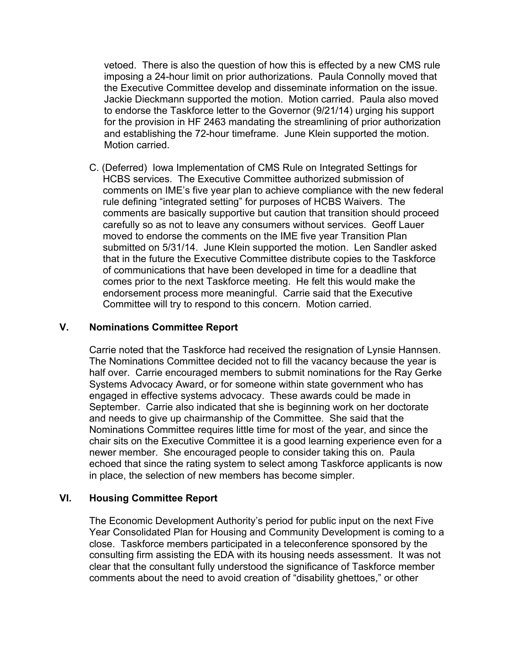vetoed. There is also the question of how this is effected by a new CMS rule imposing a 24-hour limit on prior authorizations. Paula Connolly moved that the Executive Committee develop and disseminate information on the issue. Jackie Dieckmann supported the motion. Motion carried. Paula also moved to endorse the Taskforce letter to the Governor (9/21/14) urging his support for the provision in HF 2463 mandating the streamlining of prior authorization and establishing the 72-hour timeframe. June Klein supported the motion. Motion carried.

C. (Deferred) Iowa Implementation of CMS Rule on Integrated Settings for HCBS services. The Executive Committee authorized submission of comments on IME's five year plan to achieve compliance with the new federal rule defining "integrated setting" for purposes of HCBS Waivers. The comments are basically supportive but caution that transition should proceed carefully so as not to leave any consumers without services. Geoff Lauer moved to endorse the comments on the IME five year Transition Plan submitted on 5/31/14. June Klein supported the motion. Len Sandler asked that in the future the Executive Committee distribute copies to the Taskforce of communications that have been developed in time for a deadline that comes prior to the next Taskforce meeting. He felt this would make the endorsement process more meaningful. Carrie said that the Executive Committee will try to respond to this concern. Motion carried.

#### **V. Nominations Committee Report**

Carrie noted that the Taskforce had received the resignation of Lynsie Hannsen. The Nominations Committee decided not to fill the vacancy because the year is half over. Carrie encouraged members to submit nominations for the Ray Gerke Systems Advocacy Award, or for someone within state government who has engaged in effective systems advocacy. These awards could be made in September. Carrie also indicated that she is beginning work on her doctorate and needs to give up chairmanship of the Committee. She said that the Nominations Committee requires little time for most of the year, and since the chair sits on the Executive Committee it is a good learning experience even for a newer member. She encouraged people to consider taking this on. Paula echoed that since the rating system to select among Taskforce applicants is now in place, the selection of new members has become simpler.

#### **VI. Housing Committee Report**

The Economic Development Authority's period for public input on the next Five Year Consolidated Plan for Housing and Community Development is coming to a close. Taskforce members participated in a teleconference sponsored by the consulting firm assisting the EDA with its housing needs assessment. It was not clear that the consultant fully understood the significance of Taskforce member comments about the need to avoid creation of "disability ghettoes," or other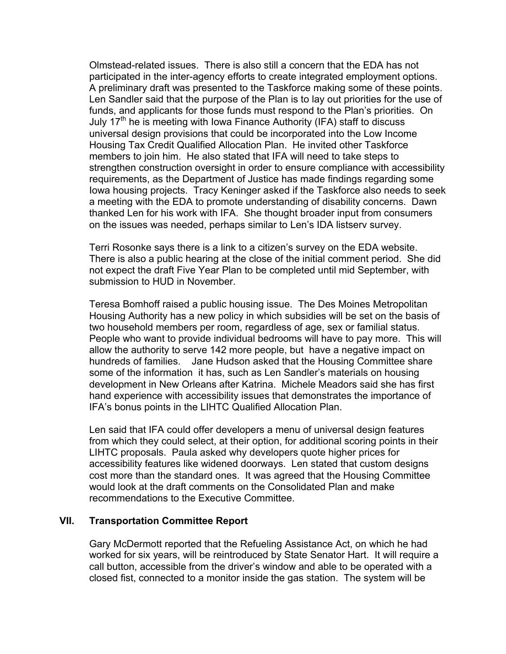Olmstead-related issues. There is also still a concern that the EDA has not participated in the inter-agency efforts to create integrated employment options. A preliminary draft was presented to the Taskforce making some of these points. Len Sandler said that the purpose of the Plan is to lay out priorities for the use of funds, and applicants for those funds must respond to the Plan's priorities. On July  $17<sup>th</sup>$  he is meeting with Iowa Finance Authority (IFA) staff to discuss universal design provisions that could be incorporated into the Low Income Housing Tax Credit Qualified Allocation Plan. He invited other Taskforce members to join him. He also stated that IFA will need to take steps to strengthen construction oversight in order to ensure compliance with accessibility requirements, as the Department of Justice has made findings regarding some Iowa housing projects. Tracy Keninger asked if the Taskforce also needs to seek a meeting with the EDA to promote understanding of disability concerns. Dawn thanked Len for his work with IFA. She thought broader input from consumers on the issues was needed, perhaps similar to Len's IDA listserv survey.

Terri Rosonke says there is a link to a citizen's survey on the EDA website. There is also a public hearing at the close of the initial comment period. She did not expect the draft Five Year Plan to be completed until mid September, with submission to HUD in November.

Teresa Bomhoff raised a public housing issue. The Des Moines Metropolitan Housing Authority has a new policy in which subsidies will be set on the basis of two household members per room, regardless of age, sex or familial status. People who want to provide individual bedrooms will have to pay more. This will allow the authority to serve 142 more people, but have a negative impact on hundreds of families. Jane Hudson asked that the Housing Committee share some of the information it has, such as Len Sandler's materials on housing development in New Orleans after Katrina. Michele Meadors said she has first hand experience with accessibility issues that demonstrates the importance of IFA's bonus points in the LIHTC Qualified Allocation Plan.

Len said that IFA could offer developers a menu of universal design features from which they could select, at their option, for additional scoring points in their LIHTC proposals. Paula asked why developers quote higher prices for accessibility features like widened doorways. Len stated that custom designs cost more than the standard ones. It was agreed that the Housing Committee would look at the draft comments on the Consolidated Plan and make recommendations to the Executive Committee.

#### **VII. Transportation Committee Report**

Gary McDermott reported that the Refueling Assistance Act, on which he had worked for six years, will be reintroduced by State Senator Hart. It will require a call button, accessible from the driver's window and able to be operated with a closed fist, connected to a monitor inside the gas station. The system will be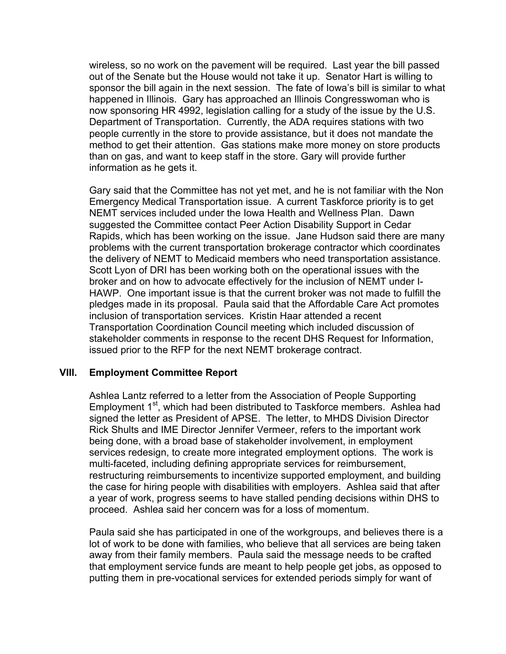wireless, so no work on the pavement will be required. Last year the bill passed out of the Senate but the House would not take it up. Senator Hart is willing to sponsor the bill again in the next session. The fate of Iowa's bill is similar to what happened in Illinois. Gary has approached an Illinois Congresswoman who is now sponsoring HR 4992, legislation calling for a study of the issue by the U.S. Department of Transportation. Currently, the ADA requires stations with two people currently in the store to provide assistance, but it does not mandate the method to get their attention. Gas stations make more money on store products than on gas, and want to keep staff in the store. Gary will provide further information as he gets it.

Gary said that the Committee has not yet met, and he is not familiar with the Non Emergency Medical Transportation issue. A current Taskforce priority is to get NEMT services included under the Iowa Health and Wellness Plan. Dawn suggested the Committee contact Peer Action Disability Support in Cedar Rapids, which has been working on the issue. Jane Hudson said there are many problems with the current transportation brokerage contractor which coordinates the delivery of NEMT to Medicaid members who need transportation assistance. Scott Lyon of DRI has been working both on the operational issues with the broker and on how to advocate effectively for the inclusion of NEMT under I-HAWP. One important issue is that the current broker was not made to fulfill the pledges made in its proposal. Paula said that the Affordable Care Act promotes inclusion of transportation services. Kristin Haar attended a recent Transportation Coordination Council meeting which included discussion of stakeholder comments in response to the recent DHS Request for Information, issued prior to the RFP for the next NEMT brokerage contract.

#### **VIII. Employment Committee Report**

Ashlea Lantz referred to a letter from the Association of People Supporting Employment 1<sup>st</sup>, which had been distributed to Taskforce members. Ashlea had signed the letter as President of APSE. The letter, to MHDS Division Director Rick Shults and IME Director Jennifer Vermeer, refers to the important work being done, with a broad base of stakeholder involvement, in employment services redesign, to create more integrated employment options. The work is multi-faceted, including defining appropriate services for reimbursement, restructuring reimbursements to incentivize supported employment, and building the case for hiring people with disabilities with employers. Ashlea said that after a year of work, progress seems to have stalled pending decisions within DHS to proceed. Ashlea said her concern was for a loss of momentum.

Paula said she has participated in one of the workgroups, and believes there is a lot of work to be done with families, who believe that all services are being taken away from their family members. Paula said the message needs to be crafted that employment service funds are meant to help people get jobs, as opposed to putting them in pre-vocational services for extended periods simply for want of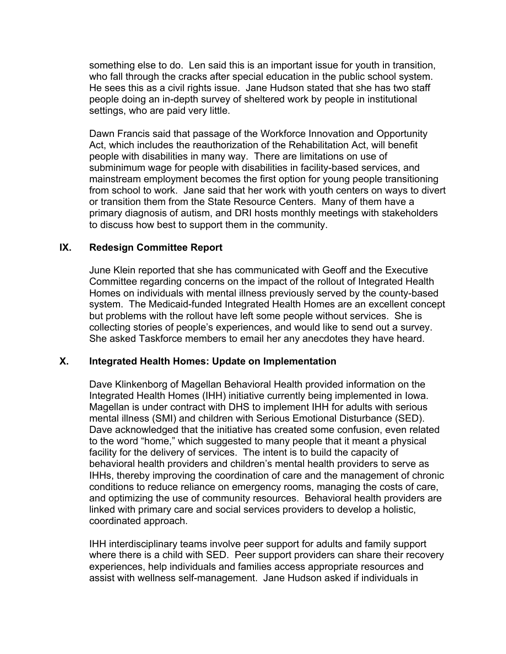something else to do. Len said this is an important issue for youth in transition, who fall through the cracks after special education in the public school system. He sees this as a civil rights issue. Jane Hudson stated that she has two staff people doing an in-depth survey of sheltered work by people in institutional settings, who are paid very little.

Dawn Francis said that passage of the Workforce Innovation and Opportunity Act, which includes the reauthorization of the Rehabilitation Act, will benefit people with disabilities in many way. There are limitations on use of subminimum wage for people with disabilities in facility-based services, and mainstream employment becomes the first option for young people transitioning from school to work. Jane said that her work with youth centers on ways to divert or transition them from the State Resource Centers. Many of them have a primary diagnosis of autism, and DRI hosts monthly meetings with stakeholders to discuss how best to support them in the community.

#### **IX. Redesign Committee Report**

June Klein reported that she has communicated with Geoff and the Executive Committee regarding concerns on the impact of the rollout of Integrated Health Homes on individuals with mental illness previously served by the county-based system. The Medicaid-funded Integrated Health Homes are an excellent concept but problems with the rollout have left some people without services. She is collecting stories of people's experiences, and would like to send out a survey. She asked Taskforce members to email her any anecdotes they have heard.

#### **X. Integrated Health Homes: Update on Implementation**

Dave Klinkenborg of Magellan Behavioral Health provided information on the Integrated Health Homes (IHH) initiative currently being implemented in Iowa. Magellan is under contract with DHS to implement IHH for adults with serious mental illness (SMI) and children with Serious Emotional Disturbance (SED). Dave acknowledged that the initiative has created some confusion, even related to the word "home," which suggested to many people that it meant a physical facility for the delivery of services. The intent is to build the capacity of behavioral health providers and children's mental health providers to serve as IHHs, thereby improving the coordination of care and the management of chronic conditions to reduce reliance on emergency rooms, managing the costs of care, and optimizing the use of community resources. Behavioral health providers are linked with primary care and social services providers to develop a holistic, coordinated approach.

IHH interdisciplinary teams involve peer support for adults and family support where there is a child with SED. Peer support providers can share their recovery experiences, help individuals and families access appropriate resources and assist with wellness self-management. Jane Hudson asked if individuals in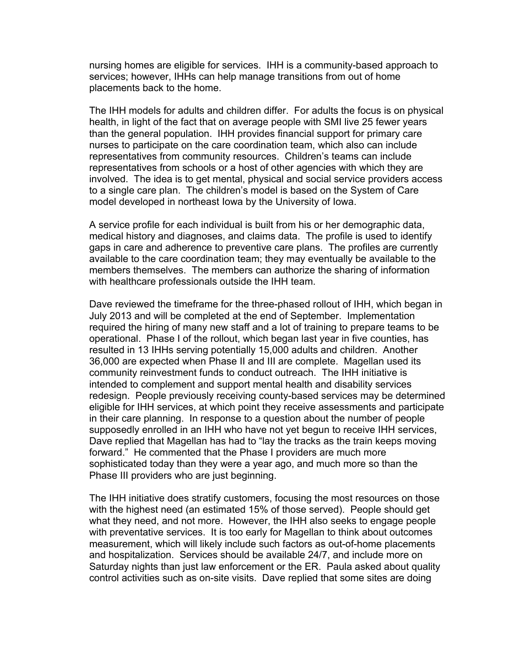nursing homes are eligible for services. IHH is a community-based approach to services; however, IHHs can help manage transitions from out of home placements back to the home.

The IHH models for adults and children differ. For adults the focus is on physical health, in light of the fact that on average people with SMI live 25 fewer years than the general population. IHH provides financial support for primary care nurses to participate on the care coordination team, which also can include representatives from community resources. Children's teams can include representatives from schools or a host of other agencies with which they are involved. The idea is to get mental, physical and social service providers access to a single care plan. The children's model is based on the System of Care model developed in northeast Iowa by the University of Iowa.

A service profile for each individual is built from his or her demographic data, medical history and diagnoses, and claims data. The profile is used to identify gaps in care and adherence to preventive care plans. The profiles are currently available to the care coordination team; they may eventually be available to the members themselves. The members can authorize the sharing of information with healthcare professionals outside the IHH team.

Dave reviewed the timeframe for the three-phased rollout of IHH, which began in July 2013 and will be completed at the end of September. Implementation required the hiring of many new staff and a lot of training to prepare teams to be operational. Phase I of the rollout, which began last year in five counties, has resulted in 13 IHHs serving potentially 15,000 adults and children. Another 36,000 are expected when Phase II and III are complete. Magellan used its community reinvestment funds to conduct outreach. The IHH initiative is intended to complement and support mental health and disability services redesign. People previously receiving county-based services may be determined eligible for IHH services, at which point they receive assessments and participate in their care planning. In response to a question about the number of people supposedly enrolled in an IHH who have not yet begun to receive IHH services, Dave replied that Magellan has had to "lay the tracks as the train keeps moving forward." He commented that the Phase I providers are much more sophisticated today than they were a year ago, and much more so than the Phase III providers who are just beginning.

The IHH initiative does stratify customers, focusing the most resources on those with the highest need (an estimated 15% of those served). People should get what they need, and not more. However, the IHH also seeks to engage people with preventative services. It is too early for Magellan to think about outcomes measurement, which will likely include such factors as out-of-home placements and hospitalization. Services should be available 24/7, and include more on Saturday nights than just law enforcement or the ER. Paula asked about quality control activities such as on-site visits. Dave replied that some sites are doing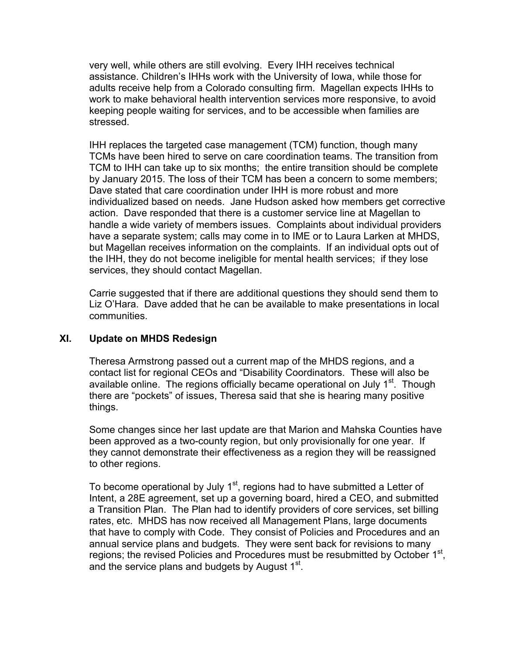very well, while others are still evolving. Every IHH receives technical assistance. Children's IHHs work with the University of Iowa, while those for adults receive help from a Colorado consulting firm. Magellan expects IHHs to work to make behavioral health intervention services more responsive, to avoid keeping people waiting for services, and to be accessible when families are stressed.

IHH replaces the targeted case management (TCM) function, though many TCMs have been hired to serve on care coordination teams. The transition from TCM to IHH can take up to six months; the entire transition should be complete by January 2015. The loss of their TCM has been a concern to some members; Dave stated that care coordination under IHH is more robust and more individualized based on needs. Jane Hudson asked how members get corrective action. Dave responded that there is a customer service line at Magellan to handle a wide variety of members issues. Complaints about individual providers have a separate system; calls may come in to IME or to Laura Larken at MHDS, but Magellan receives information on the complaints. If an individual opts out of the IHH, they do not become ineligible for mental health services; if they lose services, they should contact Magellan.

Carrie suggested that if there are additional questions they should send them to Liz O'Hara. Dave added that he can be available to make presentations in local communities.

#### **XI. Update on MHDS Redesign**

Theresa Armstrong passed out a current map of the MHDS regions, and a contact list for regional CEOs and "Disability Coordinators. These will also be available online. The regions officially became operational on July 1<sup>st</sup>. Though there are "pockets" of issues, Theresa said that she is hearing many positive things.

Some changes since her last update are that Marion and Mahska Counties have been approved as a two-county region, but only provisionally for one year. If they cannot demonstrate their effectiveness as a region they will be reassigned to other regions.

To become operational by July  $1<sup>st</sup>$ , regions had to have submitted a Letter of Intent, a 28E agreement, set up a governing board, hired a CEO, and submitted a Transition Plan. The Plan had to identify providers of core services, set billing rates, etc. MHDS has now received all Management Plans, large documents that have to comply with Code. They consist of Policies and Procedures and an annual service plans and budgets. They were sent back for revisions to many regions; the revised Policies and Procedures must be resubmitted by October  $1<sup>st</sup>$ , and the service plans and budgets by August  $1<sup>st</sup>$ .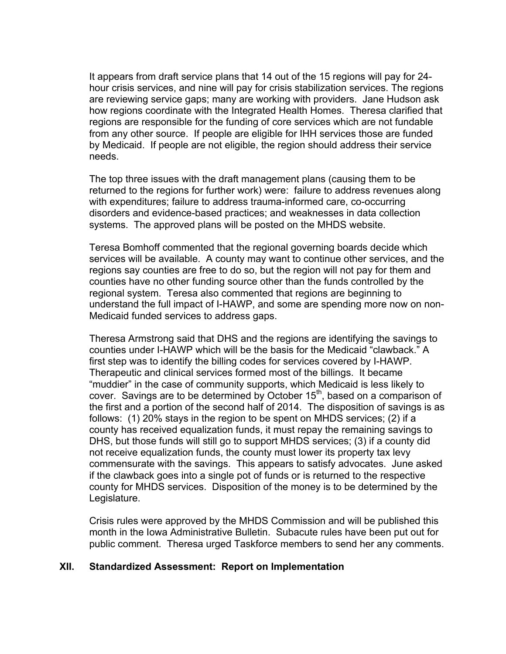It appears from draft service plans that 14 out of the 15 regions will pay for 24 hour crisis services, and nine will pay for crisis stabilization services. The regions are reviewing service gaps; many are working with providers. Jane Hudson ask how regions coordinate with the Integrated Health Homes. Theresa clarified that regions are responsible for the funding of core services which are not fundable from any other source. If people are eligible for IHH services those are funded by Medicaid. If people are not eligible, the region should address their service needs.

The top three issues with the draft management plans (causing them to be returned to the regions for further work) were: failure to address revenues along with expenditures; failure to address trauma-informed care, co-occurring disorders and evidence-based practices; and weaknesses in data collection systems. The approved plans will be posted on the MHDS website.

Teresa Bomhoff commented that the regional governing boards decide which services will be available. A county may want to continue other services, and the regions say counties are free to do so, but the region will not pay for them and counties have no other funding source other than the funds controlled by the regional system. Teresa also commented that regions are beginning to understand the full impact of I-HAWP, and some are spending more now on non-Medicaid funded services to address gaps.

Theresa Armstrong said that DHS and the regions are identifying the savings to counties under I-HAWP which will be the basis for the Medicaid "clawback." A first step was to identify the billing codes for services covered by I-HAWP. Therapeutic and clinical services formed most of the billings. It became "muddier" in the case of community supports, which Medicaid is less likely to cover. Savings are to be determined by October 15<sup>th</sup>, based on a comparison of the first and a portion of the second half of 2014. The disposition of savings is as follows: (1) 20% stays in the region to be spent on MHDS services; (2) if a county has received equalization funds, it must repay the remaining savings to DHS, but those funds will still go to support MHDS services; (3) if a county did not receive equalization funds, the county must lower its property tax levy commensurate with the savings. This appears to satisfy advocates. June asked if the clawback goes into a single pot of funds or is returned to the respective county for MHDS services. Disposition of the money is to be determined by the Legislature.

Crisis rules were approved by the MHDS Commission and will be published this month in the Iowa Administrative Bulletin. Subacute rules have been put out for public comment. Theresa urged Taskforce members to send her any comments.

#### **XII. Standardized Assessment: Report on Implementation**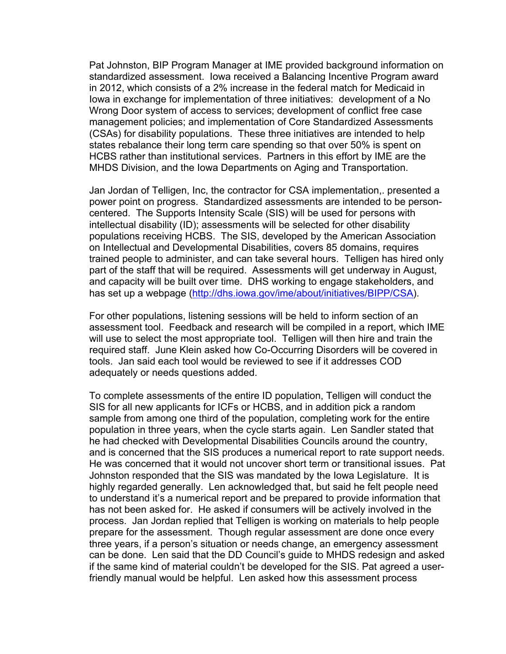Pat Johnston, BIP Program Manager at IME provided background information on standardized assessment. Iowa received a Balancing Incentive Program award in 2012, which consists of a 2% increase in the federal match for Medicaid in Iowa in exchange for implementation of three initiatives: development of a No Wrong Door system of access to services; development of conflict free case management policies; and implementation of Core Standardized Assessments (CSAs) for disability populations. These three initiatives are intended to help states rebalance their long term care spending so that over 50% is spent on HCBS rather than institutional services. Partners in this effort by IME are the MHDS Division, and the Iowa Departments on Aging and Transportation.

Jan Jordan of Telligen, Inc, the contractor for CSA implementation,. presented a power point on progress. Standardized assessments are intended to be personcentered. The Supports Intensity Scale (SIS) will be used for persons with intellectual disability (ID); assessments will be selected for other disability populations receiving HCBS. The SIS, developed by the American Association on Intellectual and Developmental Disabilities, covers 85 domains, requires trained people to administer, and can take several hours. Telligen has hired only part of the staff that will be required. Assessments will get underway in August, and capacity will be built over time. DHS working to engage stakeholders, and has set up a webpage (http://dhs.iowa.gov/ime/about/initiatives/BIPP/CSA).

For other populations, listening sessions will be held to inform section of an assessment tool. Feedback and research will be compiled in a report, which IME will use to select the most appropriate tool. Telligen will then hire and train the required staff. June Klein asked how Co-Occurring Disorders will be covered in tools. Jan said each tool would be reviewed to see if it addresses COD adequately or needs questions added.

To complete assessments of the entire ID population, Telligen will conduct the SIS for all new applicants for ICFs or HCBS, and in addition pick a random sample from among one third of the population, completing work for the entire population in three years, when the cycle starts again. Len Sandler stated that he had checked with Developmental Disabilities Councils around the country, and is concerned that the SIS produces a numerical report to rate support needs. He was concerned that it would not uncover short term or transitional issues. Pat Johnston responded that the SIS was mandated by the Iowa Legislature. It is highly regarded generally. Len acknowledged that, but said he felt people need to understand it's a numerical report and be prepared to provide information that has not been asked for. He asked if consumers will be actively involved in the process. Jan Jordan replied that Telligen is working on materials to help people prepare for the assessment. Though regular assessment are done once every three years, if a person's situation or needs change, an emergency assessment can be done. Len said that the DD Council's guide to MHDS redesign and asked if the same kind of material couldn't be developed for the SIS. Pat agreed a userfriendly manual would be helpful. Len asked how this assessment process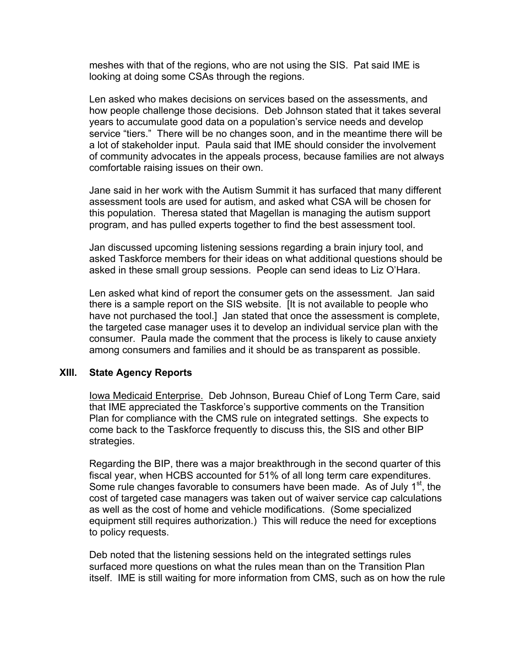meshes with that of the regions, who are not using the SIS. Pat said IME is looking at doing some CSAs through the regions.

Len asked who makes decisions on services based on the assessments, and how people challenge those decisions. Deb Johnson stated that it takes several years to accumulate good data on a population's service needs and develop service "tiers." There will be no changes soon, and in the meantime there will be a lot of stakeholder input. Paula said that IME should consider the involvement of community advocates in the appeals process, because families are not always comfortable raising issues on their own.

Jane said in her work with the Autism Summit it has surfaced that many different assessment tools are used for autism, and asked what CSA will be chosen for this population. Theresa stated that Magellan is managing the autism support program, and has pulled experts together to find the best assessment tool.

Jan discussed upcoming listening sessions regarding a brain injury tool, and asked Taskforce members for their ideas on what additional questions should be asked in these small group sessions. People can send ideas to Liz O'Hara.

Len asked what kind of report the consumer gets on the assessment. Jan said there is a sample report on the SIS website. [It is not available to people who have not purchased the tool.] Jan stated that once the assessment is complete, the targeted case manager uses it to develop an individual service plan with the consumer. Paula made the comment that the process is likely to cause anxiety among consumers and families and it should be as transparent as possible.

#### **XIII. State Agency Reports**

Iowa Medicaid Enterprise. Deb Johnson, Bureau Chief of Long Term Care, said that IME appreciated the Taskforce's supportive comments on the Transition Plan for compliance with the CMS rule on integrated settings. She expects to come back to the Taskforce frequently to discuss this, the SIS and other BIP strategies.

Regarding the BIP, there was a major breakthrough in the second quarter of this fiscal year, when HCBS accounted for 51% of all long term care expenditures. Some rule changes favorable to consumers have been made. As of July  $1<sup>st</sup>$ , the cost of targeted case managers was taken out of waiver service cap calculations as well as the cost of home and vehicle modifications. (Some specialized equipment still requires authorization.) This will reduce the need for exceptions to policy requests.

Deb noted that the listening sessions held on the integrated settings rules surfaced more questions on what the rules mean than on the Transition Plan itself. IME is still waiting for more information from CMS, such as on how the rule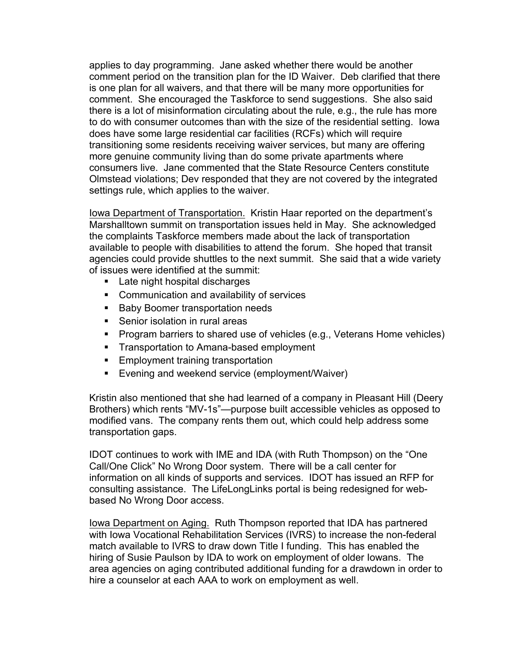applies to day programming. Jane asked whether there would be another comment period on the transition plan for the ID Waiver. Deb clarified that there is one plan for all waivers, and that there will be many more opportunities for comment. She encouraged the Taskforce to send suggestions. She also said there is a lot of misinformation circulating about the rule, e.g., the rule has more to do with consumer outcomes than with the size of the residential setting. Iowa does have some large residential car facilities (RCFs) which will require transitioning some residents receiving waiver services, but many are offering more genuine community living than do some private apartments where consumers live. Jane commented that the State Resource Centers constitute Olmstead violations; Dev responded that they are not covered by the integrated settings rule, which applies to the waiver.

Iowa Department of Transportation. Kristin Haar reported on the department's Marshalltown summit on transportation issues held in May. She acknowledged the complaints Taskforce members made about the lack of transportation available to people with disabilities to attend the forum. She hoped that transit agencies could provide shuttles to the next summit. She said that a wide variety of issues were identified at the summit:

- Late night hospital discharges
- Communication and availability of services
- Baby Boomer transportation needs
- Senior isolation in rural areas
- Program barriers to shared use of vehicles (e.g., Veterans Home vehicles)
- Transportation to Amana-based employment
- Employment training transportation
- Evening and weekend service (employment/Waiver)

Kristin also mentioned that she had learned of a company in Pleasant Hill (Deery Brothers) which rents "MV-1s"—purpose built accessible vehicles as opposed to modified vans. The company rents them out, which could help address some transportation gaps.

IDOT continues to work with IME and IDA (with Ruth Thompson) on the "One Call/One Click" No Wrong Door system. There will be a call center for information on all kinds of supports and services. IDOT has issued an RFP for consulting assistance. The LifeLongLinks portal is being redesigned for webbased No Wrong Door access.

Iowa Department on Aging. Ruth Thompson reported that IDA has partnered with Iowa Vocational Rehabilitation Services (IVRS) to increase the non-federal match available to IVRS to draw down Title I funding. This has enabled the hiring of Susie Paulson by IDA to work on employment of older Iowans. The area agencies on aging contributed additional funding for a drawdown in order to hire a counselor at each AAA to work on employment as well.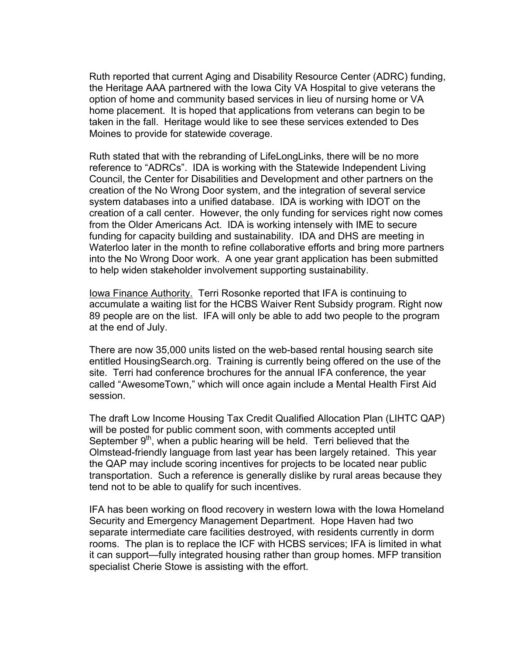Ruth reported that current Aging and Disability Resource Center (ADRC) funding, the Heritage AAA partnered with the Iowa City VA Hospital to give veterans the option of home and community based services in lieu of nursing home or VA home placement. It is hoped that applications from veterans can begin to be taken in the fall. Heritage would like to see these services extended to Des Moines to provide for statewide coverage.

Ruth stated that with the rebranding of LifeLongLinks, there will be no more reference to "ADRCs". IDA is working with the Statewide Independent Living Council, the Center for Disabilities and Development and other partners on the creation of the No Wrong Door system, and the integration of several service system databases into a unified database. IDA is working with IDOT on the creation of a call center. However, the only funding for services right now comes from the Older Americans Act. IDA is working intensely with IME to secure funding for capacity building and sustainability. IDA and DHS are meeting in Waterloo later in the month to refine collaborative efforts and bring more partners into the No Wrong Door work. A one year grant application has been submitted to help widen stakeholder involvement supporting sustainability.

Iowa Finance Authority. Terri Rosonke reported that IFA is continuing to accumulate a waiting list for the HCBS Waiver Rent Subsidy program. Right now 89 people are on the list. IFA will only be able to add two people to the program at the end of July.

There are now 35,000 units listed on the web-based rental housing search site entitled HousingSearch.org. Training is currently being offered on the use of the site. Terri had conference brochures for the annual IFA conference, the year called "AwesomeTown," which will once again include a Mental Health First Aid session.

The draft Low Income Housing Tax Credit Qualified Allocation Plan (LIHTC QAP) will be posted for public comment soon, with comments accepted until September  $9<sup>th</sup>$ , when a public hearing will be held. Terri believed that the Olmstead-friendly language from last year has been largely retained. This year the QAP may include scoring incentives for projects to be located near public transportation. Such a reference is generally dislike by rural areas because they tend not to be able to qualify for such incentives.

IFA has been working on flood recovery in western Iowa with the Iowa Homeland Security and Emergency Management Department. Hope Haven had two separate intermediate care facilities destroyed, with residents currently in dorm rooms. The plan is to replace the ICF with HCBS services; IFA is limited in what it can support—fully integrated housing rather than group homes. MFP transition specialist Cherie Stowe is assisting with the effort.